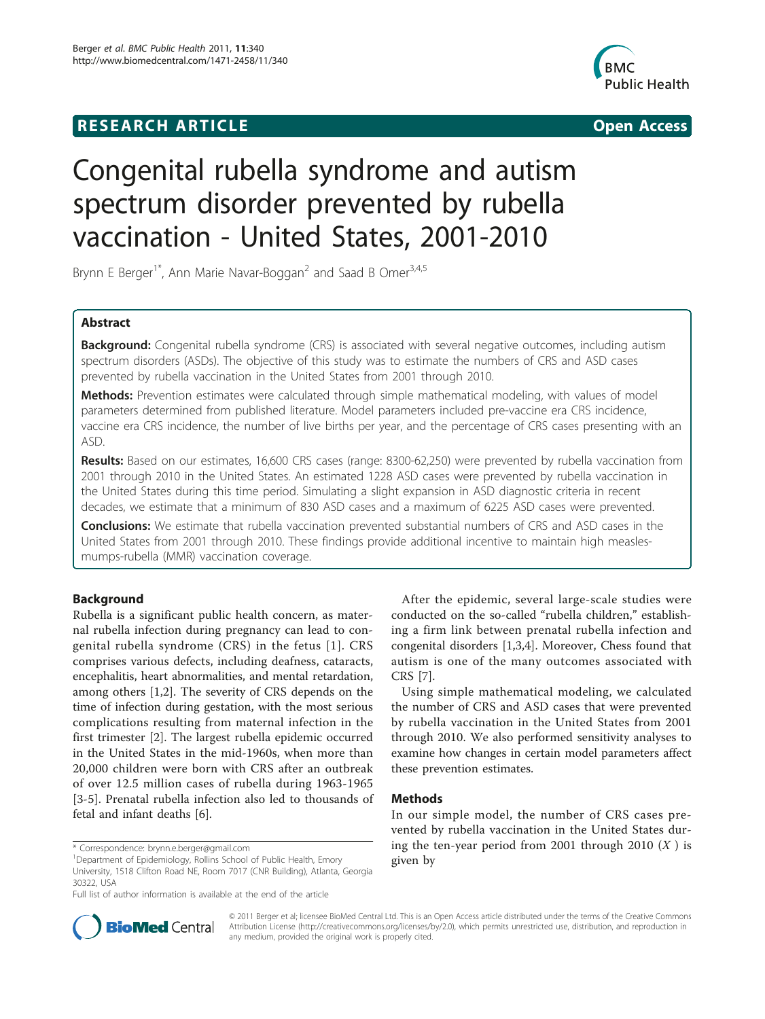## **RESEARCH ARTICLE CONSUMING A RESEARCH ARTICLE**



# Congenital rubella syndrome and autism spectrum disorder prevented by rubella vaccination - United States, 2001-2010

Brynn E Berger<sup>1\*</sup>, Ann Marie Navar-Boggan<sup>2</sup> and Saad B Omer<sup>3,4,5</sup>

## Abstract

Background: Congenital rubella syndrome (CRS) is associated with several negative outcomes, including autism spectrum disorders (ASDs). The objective of this study was to estimate the numbers of CRS and ASD cases prevented by rubella vaccination in the United States from 2001 through 2010.

Methods: Prevention estimates were calculated through simple mathematical modeling, with values of model parameters determined from published literature. Model parameters included pre-vaccine era CRS incidence, vaccine era CRS incidence, the number of live births per year, and the percentage of CRS cases presenting with an ASD.

Results: Based on our estimates, 16,600 CRS cases (range: 8300-62,250) were prevented by rubella vaccination from 2001 through 2010 in the United States. An estimated 1228 ASD cases were prevented by rubella vaccination in the United States during this time period. Simulating a slight expansion in ASD diagnostic criteria in recent decades, we estimate that a minimum of 830 ASD cases and a maximum of 6225 ASD cases were prevented.

**Conclusions:** We estimate that rubella vaccination prevented substantial numbers of CRS and ASD cases in the United States from 2001 through 2010. These findings provide additional incentive to maintain high measlesmumps-rubella (MMR) vaccination coverage.

## Background

Rubella is a significant public health concern, as maternal rubella infection during pregnancy can lead to congenital rubella syndrome (CRS) in the fetus [\[1\]](#page-3-0). CRS comprises various defects, including deafness, cataracts, encephalitis, heart abnormalities, and mental retardation, among others [[1,2\]](#page-3-0). The severity of CRS depends on the time of infection during gestation, with the most serious complications resulting from maternal infection in the first trimester [[2\]](#page-3-0). The largest rubella epidemic occurred in the United States in the mid-1960s, when more than 20,000 children were born with CRS after an outbreak of over 12.5 million cases of rubella during 1963-1965 [[3-5](#page-3-0)]. Prenatal rubella infection also led to thousands of fetal and infant deaths [[6\]](#page-4-0).

\* Correspondence: [brynn.e.berger@gmail.com](mailto:brynn.e.berger@gmail.com)

After the epidemic, several large-scale studies were conducted on the so-called "rubella children," establishing a firm link between prenatal rubella infection and congenital disorders [\[1](#page-3-0),[3](#page-3-0),[4\]](#page-3-0). Moreover, Chess found that autism is one of the many outcomes associated with CRS [[7\]](#page-4-0).

Using simple mathematical modeling, we calculated the number of CRS and ASD cases that were prevented by rubella vaccination in the United States from 2001 through 2010. We also performed sensitivity analyses to examine how changes in certain model parameters affect these prevention estimates.

## **Methods**

In our simple model, the number of CRS cases prevented by rubella vaccination in the United States during the ten-year period from 2001 through 2010  $(X)$  is given by



© 2011 Berger et al; licensee BioMed Central Ltd. This is an Open Access article distributed under the terms of the Creative Commons Attribution License [\(http://creativecommons.org/licenses/by/2.0](http://creativecommons.org/licenses/by/2.0)), which permits unrestricted use, distribution, and reproduction in any medium, provided the original work is properly cited.

<sup>&</sup>lt;sup>1</sup>Department of Epidemiology, Rollins School of Public Health, Emory

University, 1518 Clifton Road NE, Room 7017 (CNR Building), Atlanta, Georgia 30322, USA

Full list of author information is available at the end of the article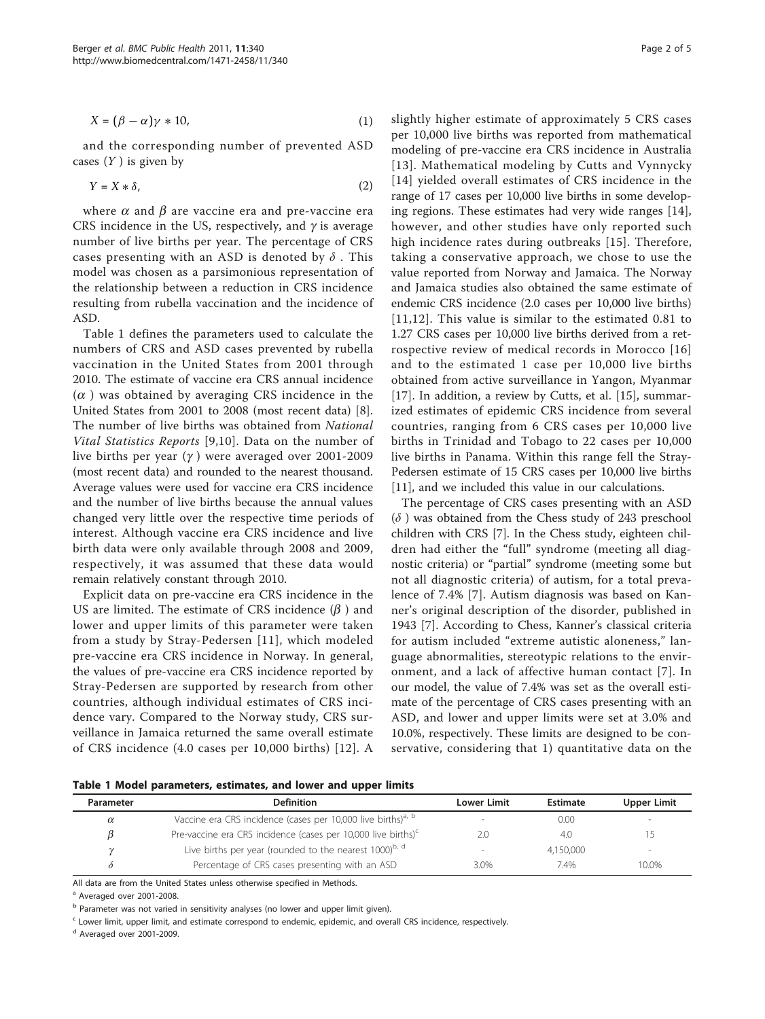<span id="page-1-0"></span>
$$
X = (\beta - \alpha)\gamma * 10,\tag{1}
$$

and the corresponding number of prevented ASD cases  $(Y)$  is given by

$$
Y = X * \delta,\tag{2}
$$

where  $\alpha$  and  $\beta$  are vaccine era and pre-vaccine era CRS incidence in the US, respectively, and  $\gamma$  is average number of live births per year. The percentage of CRS cases presenting with an ASD is denoted by  $\delta$ . This model was chosen as a parsimonious representation of the relationship between a reduction in CRS incidence resulting from rubella vaccination and the incidence of ASD.

Table 1 defines the parameters used to calculate the numbers of CRS and ASD cases prevented by rubella vaccination in the United States from 2001 through 2010. The estimate of vaccine era CRS annual incidence  $(\alpha)$  was obtained by averaging CRS incidence in the United States from 2001 to 2008 (most recent data) [\[8](#page-4-0)]. The number of live births was obtained from National Vital Statistics Reports [[9,10](#page-4-0)]. Data on the number of live births per year  $(\gamma)$  were averaged over 2001-2009 (most recent data) and rounded to the nearest thousand. Average values were used for vaccine era CRS incidence and the number of live births because the annual values changed very little over the respective time periods of interest. Although vaccine era CRS incidence and live birth data were only available through 2008 and 2009, respectively, it was assumed that these data would remain relatively constant through 2010.

Explicit data on pre-vaccine era CRS incidence in the US are limited. The estimate of CRS incidence  $(\beta)$  and lower and upper limits of this parameter were taken from a study by Stray-Pedersen [[11](#page-4-0)], which modeled pre-vaccine era CRS incidence in Norway. In general, the values of pre-vaccine era CRS incidence reported by Stray-Pedersen are supported by research from other countries, although individual estimates of CRS incidence vary. Compared to the Norway study, CRS surveillance in Jamaica returned the same overall estimate of CRS incidence (4.0 cases per 10,000 births) [[12](#page-4-0)]. A slightly higher estimate of approximately 5 CRS cases per 10,000 live births was reported from mathematical modeling of pre-vaccine era CRS incidence in Australia [[13\]](#page-4-0). Mathematical modeling by Cutts and Vynnycky [[14](#page-4-0)] yielded overall estimates of CRS incidence in the range of 17 cases per 10,000 live births in some developing regions. These estimates had very wide ranges [[14](#page-4-0)], however, and other studies have only reported such high incidence rates during outbreaks [[15](#page-4-0)]. Therefore, taking a conservative approach, we chose to use the value reported from Norway and Jamaica. The Norway and Jamaica studies also obtained the same estimate of endemic CRS incidence (2.0 cases per 10,000 live births) [[11,12](#page-4-0)]. This value is similar to the estimated 0.81 to 1.27 CRS cases per 10,000 live births derived from a retrospective review of medical records in Morocco [[16](#page-4-0)] and to the estimated 1 case per 10,000 live births obtained from active surveillance in Yangon, Myanmar [[17\]](#page-4-0). In addition, a review by Cutts, et al. [[15\]](#page-4-0), summarized estimates of epidemic CRS incidence from several countries, ranging from 6 CRS cases per 10,000 live births in Trinidad and Tobago to 22 cases per 10,000 live births in Panama. Within this range fell the Stray-Pedersen estimate of 15 CRS cases per 10,000 live births [[11\]](#page-4-0), and we included this value in our calculations.

The percentage of CRS cases presenting with an ASD  $(\delta)$  was obtained from the Chess study of 243 preschool children with CRS [[7\]](#page-4-0). In the Chess study, eighteen children had either the "full" syndrome (meeting all diagnostic criteria) or "partial" syndrome (meeting some but not all diagnostic criteria) of autism, for a total prevalence of 7.4% [[7\]](#page-4-0). Autism diagnosis was based on Kanner's original description of the disorder, published in 1943 [\[7](#page-4-0)]. According to Chess, Kanner's classical criteria for autism included "extreme autistic aloneness," language abnormalities, stereotypic relations to the environment, and a lack of affective human contact [[7](#page-4-0)]. In our model, the value of 7.4% was set as the overall estimate of the percentage of CRS cases presenting with an ASD, and lower and upper limits were set at 3.0% and 10.0%, respectively. These limits are designed to be conservative, considering that 1) quantitative data on the

Table 1 Model parameters, estimates, and lower and upper limits

| Parameter | <b>Definition</b>                                                         | Lower Limit              | Estimate  | <b>Upper Limit</b>       |
|-----------|---------------------------------------------------------------------------|--------------------------|-----------|--------------------------|
| $\alpha$  | Vaccine era CRS incidence (cases per 10,000 live births) <sup>a, b</sup>  | $\overline{\phantom{a}}$ | 0.00      | -                        |
|           | Pre-vaccine era CRS incidence (cases per 10,000 live births) <sup>c</sup> |                          | 4.0       |                          |
| $\gamma$  | Live births per year (rounded to the nearest 1000) <sup>b, d</sup>        | $\overline{\phantom{a}}$ | 4.150.000 | $\overline{\phantom{a}}$ |
|           | Percentage of CRS cases presenting with an ASD                            | 3.0%                     | 7.4%      | 10.0%                    |

All data are from the United States unless otherwise specified in Methods.

<sup>a</sup> Averaged over 2001-2008.

b Parameter was not varied in sensitivity analyses (no lower and upper limit given).

 $c$  Lower limit, upper limit, and estimate correspond to endemic, epidemic, and overall CRS incidence, respectively.

<sup>d</sup> Averaged over 2001-2009.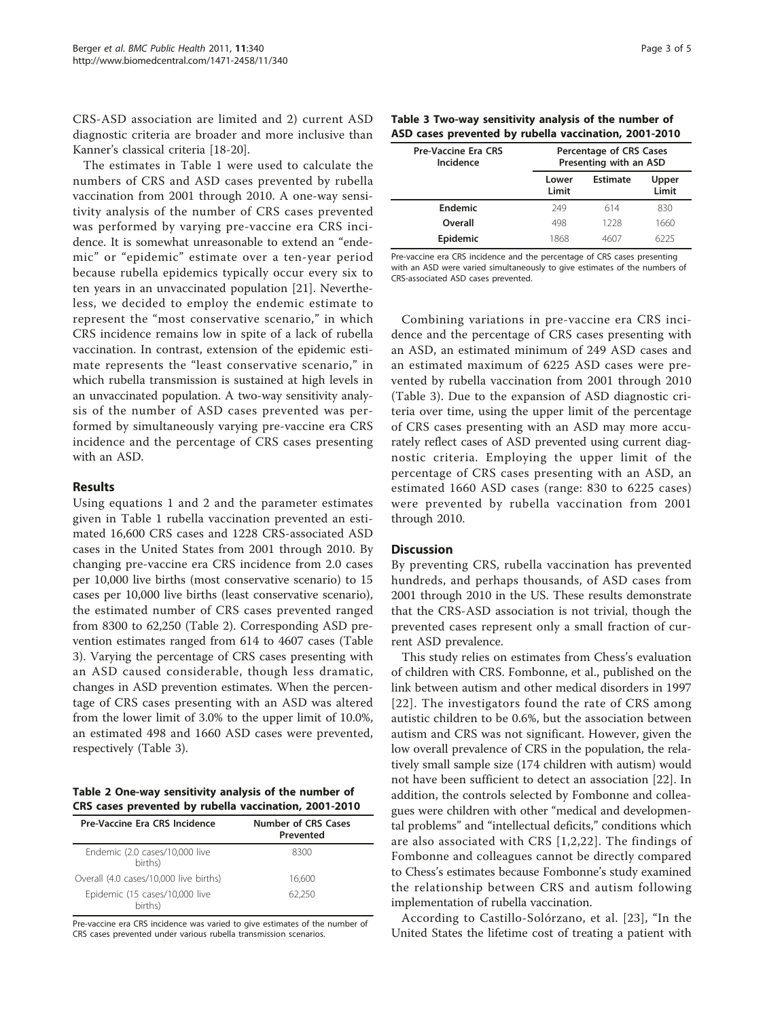CRS-ASD association are limited and 2) current ASD diagnostic criteria are broader and more inclusive than Kanner's classical criteria [\[18](#page-4-0)-[20](#page-4-0)].

The estimates in Table [1](#page-1-0) were used to calculate the numbers of CRS and ASD cases prevented by rubella vaccination from 2001 through 2010. A one-way sensitivity analysis of the number of CRS cases prevented was performed by varying pre-vaccine era CRS incidence. It is somewhat unreasonable to extend an "endemic" or "epidemic" estimate over a ten-year period because rubella epidemics typically occur every six to ten years in an unvaccinated population [[21\]](#page-4-0). Nevertheless, we decided to employ the endemic estimate to represent the "most conservative scenario," in which CRS incidence remains low in spite of a lack of rubella vaccination. In contrast, extension of the epidemic estimate represents the "least conservative scenario," in which rubella transmission is sustained at high levels in an unvaccinated population. A two-way sensitivity analysis of the number of ASD cases prevented was performed by simultaneously varying pre-vaccine era CRS incidence and the percentage of CRS cases presenting with an ASD.

## Results

Using equations 1 and 2 and the parameter estimates given in Table [1](#page-1-0) rubella vaccination prevented an estimated 16,600 CRS cases and 1228 CRS-associated ASD cases in the United States from 2001 through 2010. By changing pre-vaccine era CRS incidence from 2.0 cases per 10,000 live births (most conservative scenario) to 15 cases per 10,000 live births (least conservative scenario), the estimated number of CRS cases prevented ranged from 8300 to 62,250 (Table 2). Corresponding ASD prevention estimates ranged from 614 to 4607 cases (Table 3). Varying the percentage of CRS cases presenting with an ASD caused considerable, though less dramatic, changes in ASD prevention estimates. When the percentage of CRS cases presenting with an ASD was altered from the lower limit of 3.0% to the upper limit of 10.0%, an estimated 498 and 1660 ASD cases were prevented, respectively (Table 3).

|  | Table 2 One-way sensitivity analysis of the number of |  |  |  |
|--|-------------------------------------------------------|--|--|--|
|  | CRS cases prevented by rubella vaccination, 2001-2010 |  |  |  |

| Pre-Vaccine Era CRS Incidence             | <b>Number of CRS Cases</b><br>Prevented |
|-------------------------------------------|-----------------------------------------|
| Endemic (2.0 cases/10,000 live<br>births) | 8300                                    |
| Overall (4.0 cases/10,000 live births)    | 16.600                                  |
| Epidemic (15 cases/10,000 live<br>births) | 62.250                                  |

Pre-vaccine era CRS incidence was varied to give estimates of the number of CRS cases prevented under various rubella transmission scenarios.

| Table 3 Two-way sensitivity analysis of the number of |  |
|-------------------------------------------------------|--|
| ASD cases prevented by rubella vaccination, 2001-2010 |  |

| <b>Pre-Vaccine Era CRS</b><br>Incidence | Percentage of CRS Cases<br>Presenting with an ASD |                 |                |  |
|-----------------------------------------|---------------------------------------------------|-----------------|----------------|--|
|                                         | Lower<br>Limit                                    | <b>Estimate</b> | Upper<br>Limit |  |
| Endemic                                 | 249                                               | 614             | 830            |  |
| Overall                                 | 498                                               | 1228            | 1660           |  |
| Epidemic                                | 1868                                              | 460.            | 6225           |  |

Pre-vaccine era CRS incidence and the percentage of CRS cases presenting with an ASD were varied simultaneously to give estimates of the numbers of CRS-associated ASD cases prevented.

Combining variations in pre-vaccine era CRS incidence and the percentage of CRS cases presenting with an ASD, an estimated minimum of 249 ASD cases and an estimated maximum of 6225 ASD cases were prevented by rubella vaccination from 2001 through 2010 (Table 3). Due to the expansion of ASD diagnostic criteria over time, using the upper limit of the percentage of CRS cases presenting with an ASD may more accurately reflect cases of ASD prevented using current diagnostic criteria. Employing the upper limit of the percentage of CRS cases presenting with an ASD, an estimated 1660 ASD cases (range: 830 to 6225 cases) were prevented by rubella vaccination from 2001 through 2010.

## **Discussion**

By preventing CRS, rubella vaccination has prevented hundreds, and perhaps thousands, of ASD cases from 2001 through 2010 in the US. These results demonstrate that the CRS-ASD association is not trivial, though the prevented cases represent only a small fraction of current ASD prevalence.

This study relies on estimates from Chess's evaluation of children with CRS. Fombonne, et al., published on the link between autism and other medical disorders in 1997 [[22\]](#page-4-0). The investigators found the rate of CRS among autistic children to be 0.6%, but the association between autism and CRS was not significant. However, given the low overall prevalence of CRS in the population, the relatively small sample size (174 children with autism) would not have been sufficient to detect an association [\[22](#page-4-0)]. In addition, the controls selected by Fombonne and colleagues were children with other "medical and developmental problems" and "intellectual deficits," conditions which are also associated with CRS [[1,2,](#page-3-0)[22\]](#page-4-0). The findings of Fombonne and colleagues cannot be directly compared to Chess's estimates because Fombonne's study examined the relationship between CRS and autism following implementation of rubella vaccination.

According to Castillo-Solórzano, et al. [[23\]](#page-4-0), "In the United States the lifetime cost of treating a patient with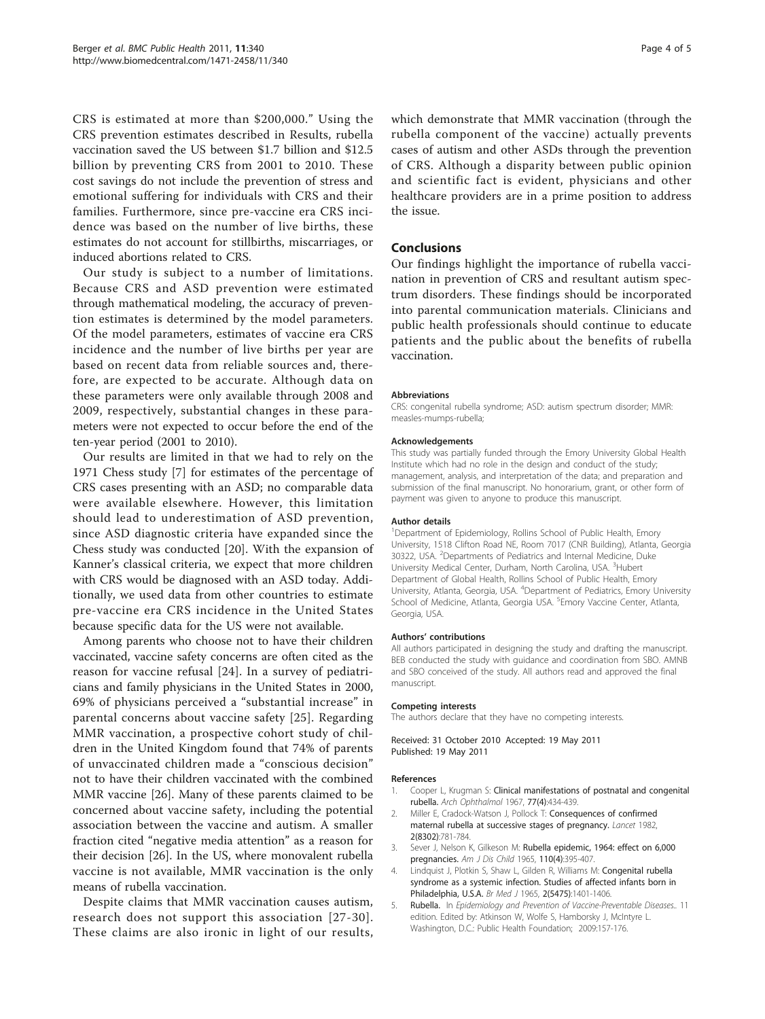<span id="page-3-0"></span>CRS is estimated at more than \$200,000." Using the CRS prevention estimates described in Results, rubella vaccination saved the US between \$1.7 billion and \$12.5 billion by preventing CRS from 2001 to 2010. These cost savings do not include the prevention of stress and emotional suffering for individuals with CRS and their families. Furthermore, since pre-vaccine era CRS incidence was based on the number of live births, these estimates do not account for stillbirths, miscarriages, or induced abortions related to CRS.

Our study is subject to a number of limitations. Because CRS and ASD prevention were estimated through mathematical modeling, the accuracy of prevention estimates is determined by the model parameters. Of the model parameters, estimates of vaccine era CRS incidence and the number of live births per year are based on recent data from reliable sources and, therefore, are expected to be accurate. Although data on these parameters were only available through 2008 and 2009, respectively, substantial changes in these parameters were not expected to occur before the end of the ten-year period (2001 to 2010).

Our results are limited in that we had to rely on the 1971 Chess study [[7\]](#page-4-0) for estimates of the percentage of CRS cases presenting with an ASD; no comparable data were available elsewhere. However, this limitation should lead to underestimation of ASD prevention, since ASD diagnostic criteria have expanded since the Chess study was conducted [[20\]](#page-4-0). With the expansion of Kanner's classical criteria, we expect that more children with CRS would be diagnosed with an ASD today. Additionally, we used data from other countries to estimate pre-vaccine era CRS incidence in the United States because specific data for the US were not available.

Among parents who choose not to have their children vaccinated, vaccine safety concerns are often cited as the reason for vaccine refusal [[24\]](#page-4-0). In a survey of pediatricians and family physicians in the United States in 2000, 69% of physicians perceived a "substantial increase" in parental concerns about vaccine safety [[25](#page-4-0)]. Regarding MMR vaccination, a prospective cohort study of children in the United Kingdom found that 74% of parents of unvaccinated children made a "conscious decision" not to have their children vaccinated with the combined MMR vaccine [[26](#page-4-0)]. Many of these parents claimed to be concerned about vaccine safety, including the potential association between the vaccine and autism. A smaller fraction cited "negative media attention" as a reason for their decision [[26\]](#page-4-0). In the US, where monovalent rubella vaccine is not available, MMR vaccination is the only means of rubella vaccination.

Despite claims that MMR vaccination causes autism, research does not support this association [[27](#page-4-0)-[30\]](#page-4-0). These claims are also ironic in light of our results, which demonstrate that MMR vaccination (through the rubella component of the vaccine) actually prevents cases of autism and other ASDs through the prevention of CRS. Although a disparity between public opinion and scientific fact is evident, physicians and other healthcare providers are in a prime position to address the issue.

## Conclusions

Our findings highlight the importance of rubella vaccination in prevention of CRS and resultant autism spectrum disorders. These findings should be incorporated into parental communication materials. Clinicians and public health professionals should continue to educate patients and the public about the benefits of rubella vaccination.

#### **Abbreviations**

CRS: congenital rubella syndrome; ASD: autism spectrum disorder; MMR: measles-mumps-rubella;

#### Acknowledgements

This study was partially funded through the Emory University Global Health Institute which had no role in the design and conduct of the study; management, analysis, and interpretation of the data; and preparation and submission of the final manuscript. No honorarium, grant, or other form of payment was given to anyone to produce this manuscript.

#### Author details

<sup>1</sup>Department of Epidemiology, Rollins School of Public Health, Emory University, 1518 Clifton Road NE, Room 7017 (CNR Building), Atlanta, Georgia 30322, USA. <sup>2</sup>Departments of Pediatrics and Internal Medicine, Duke University Medical Center, Durham, North Carolina, USA. <sup>3</sup>Hubert Department of Global Health, Rollins School of Public Health, Emory University, Atlanta, Georgia, USA. <sup>4</sup>Department of Pediatrics, Emory University School of Medicine, Atlanta, Georgia USA. <sup>5</sup>Emory Vaccine Center, Atlanta, Georgia, USA.

#### Authors' contributions

All authors participated in designing the study and drafting the manuscript. BEB conducted the study with guidance and coordination from SBO. AMNB and SBO conceived of the study. All authors read and approved the final manuscript.

#### Competing interests

The authors declare that they have no competing interests.

Received: 31 October 2010 Accepted: 19 May 2011 Published: 19 May 2011

#### References

- 1. Cooper L, Krugman S: [Clinical manifestations of postnatal and congenital](http://www.ncbi.nlm.nih.gov/pubmed/4164540?dopt=Abstract) [rubella.](http://www.ncbi.nlm.nih.gov/pubmed/4164540?dopt=Abstract) Arch Ophthalmol 1967, 77(4):434-439.
- 2. Miller E, Cradock-Watson J, Pollock T: [Consequences of confirmed](http://www.ncbi.nlm.nih.gov/pubmed/6126663?dopt=Abstract) [maternal rubella at successive stages of pregnancy.](http://www.ncbi.nlm.nih.gov/pubmed/6126663?dopt=Abstract) Lancet 1982, 2(8302):781-784.
- 3. Sever J, Nelson K, Gilkeson M: [Rubella epidemic, 1964: effect on 6,000](http://www.ncbi.nlm.nih.gov/pubmed/4158019?dopt=Abstract) [pregnancies.](http://www.ncbi.nlm.nih.gov/pubmed/4158019?dopt=Abstract) Am J Dis Child 1965, 110(4):395-407.
- 4. Lindquist J, Plotkin S, Shaw L, Gilden R, Williams M: [Congenital rubella](http://www.ncbi.nlm.nih.gov/pubmed/5892115?dopt=Abstract) [syndrome as a systemic infection. Studies of affected infants born in](http://www.ncbi.nlm.nih.gov/pubmed/5892115?dopt=Abstract) [Philadelphia, U.S.A.](http://www.ncbi.nlm.nih.gov/pubmed/5892115?dopt=Abstract) Br Med J 1965, 2(5475):1401-1406.
- 5. Rubella. In Epidemiology and Prevention of Vaccine-Preventable Diseases.. 11 edition. Edited by: Atkinson W, Wolfe S, Hamborsky J, McIntyre L. Washington, D.C.: Public Health Foundation; 2009:157-176.